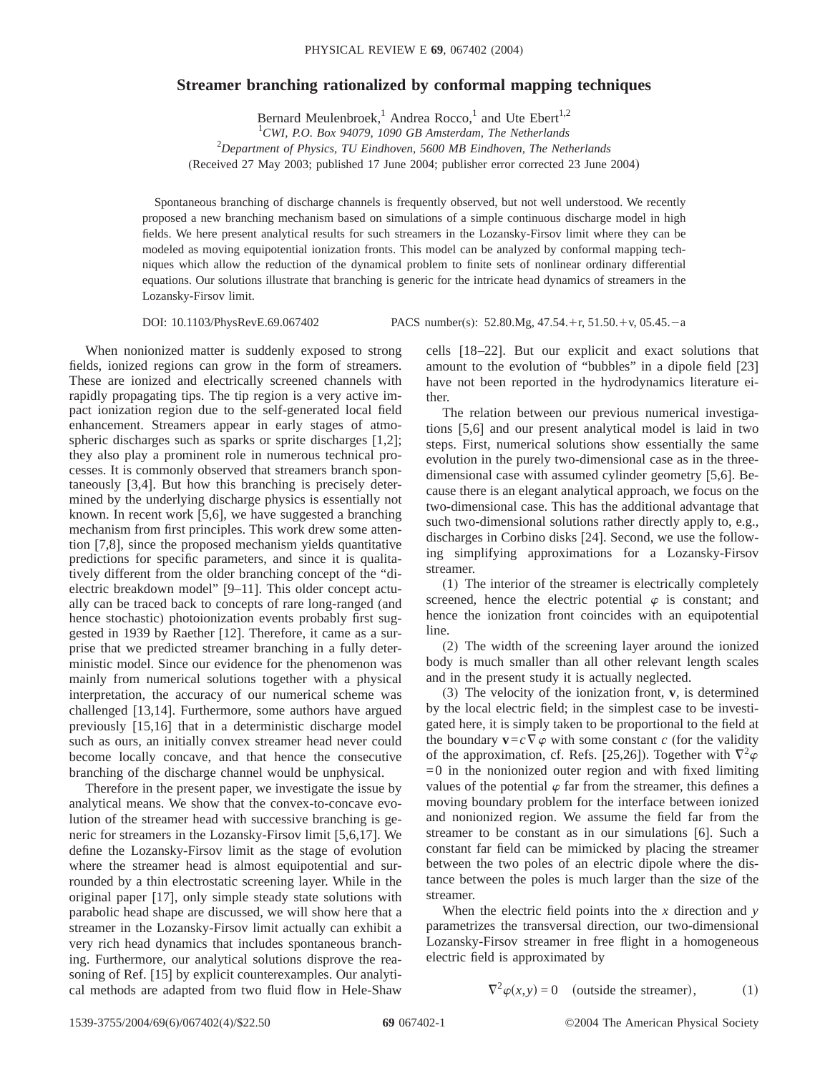## **Streamer branching rationalized by conformal mapping techniques**

Bernard Meulenbroek,<sup>1</sup> Andrea Rocco,<sup>1</sup> and Ute Ebert<sup>1,2</sup>

1 *CWI, P.O. Box 94079, 1090 GB Amsterdam, The Netherlands*

2 *Department of Physics, TU Eindhoven, 5600 MB Eindhoven, The Netherlands*

(Received 27 May 2003; published 17 June 2004; publisher error corrected 23 June 2004)

Spontaneous branching of discharge channels is frequently observed, but not well understood. We recently proposed a new branching mechanism based on simulations of a simple continuous discharge model in high fields. We here present analytical results for such streamers in the Lozansky-Firsov limit where they can be modeled as moving equipotential ionization fronts. This model can be analyzed by conformal mapping techniques which allow the reduction of the dynamical problem to finite sets of nonlinear ordinary differential equations. Our solutions illustrate that branching is generic for the intricate head dynamics of streamers in the Lozansky-Firsov limit.

DOI: 10.1103/PhysRevE.69.067402 PACS number(s): 52.80.Mg, 47.54.+r, 51.50.+v, 05.45.-a

When nonionized matter is suddenly exposed to strong fields, ionized regions can grow in the form of streamers. These are ionized and electrically screened channels with rapidly propagating tips. The tip region is a very active impact ionization region due to the self-generated local field enhancement. Streamers appear in early stages of atmospheric discharges such as sparks or sprite discharges [1,2]; they also play a prominent role in numerous technical processes. It is commonly observed that streamers branch spontaneously [3,4]. But how this branching is precisely determined by the underlying discharge physics is essentially not known. In recent work [5,6], we have suggested a branching mechanism from first principles. This work drew some attention [7,8], since the proposed mechanism yields quantitative predictions for specific parameters, and since it is qualitatively different from the older branching concept of the "dielectric breakdown model" [9–11]. This older concept actually can be traced back to concepts of rare long-ranged (and hence stochastic) photoionization events probably first suggested in 1939 by Raether [12]. Therefore, it came as a surprise that we predicted streamer branching in a fully deterministic model. Since our evidence for the phenomenon was mainly from numerical solutions together with a physical interpretation, the accuracy of our numerical scheme was challenged [13,14]. Furthermore, some authors have argued previously [15,16] that in a deterministic discharge model such as ours, an initially convex streamer head never could become locally concave, and that hence the consecutive branching of the discharge channel would be unphysical.

Therefore in the present paper, we investigate the issue by analytical means. We show that the convex-to-concave evolution of the streamer head with successive branching is generic for streamers in the Lozansky-Firsov limit [5,6,17]. We define the Lozansky-Firsov limit as the stage of evolution where the streamer head is almost equipotential and surrounded by a thin electrostatic screening layer. While in the original paper [17], only simple steady state solutions with parabolic head shape are discussed, we will show here that a streamer in the Lozansky-Firsov limit actually can exhibit a very rich head dynamics that includes spontaneous branching. Furthermore, our analytical solutions disprove the reasoning of Ref. [15] by explicit counterexamples. Our analytical methods are adapted from two fluid flow in Hele-Shaw cells [18–22]. But our explicit and exact solutions that amount to the evolution of "bubbles" in a dipole field [23] have not been reported in the hydrodynamics literature either.

The relation between our previous numerical investigations [5,6] and our present analytical model is laid in two steps. First, numerical solutions show essentially the same evolution in the purely two-dimensional case as in the threedimensional case with assumed cylinder geometry [5,6]. Because there is an elegant analytical approach, we focus on the two-dimensional case. This has the additional advantage that such two-dimensional solutions rather directly apply to, e.g., discharges in Corbino disks [24]. Second, we use the following simplifying approximations for a Lozansky-Firsov streamer.

(1) The interior of the streamer is electrically completely screened, hence the electric potential  $\varphi$  is constant; and hence the ionization front coincides with an equipotential line.

(2) The width of the screening layer around the ionized body is much smaller than all other relevant length scales and in the present study it is actually neglected.

(3) The velocity of the ionization front, **v**, is determined by the local electric field; in the simplest case to be investigated here, it is simply taken to be proportional to the field at the boundary  $\mathbf{v} = c \nabla \varphi$  with some constant *c* (for the validity of the approximation, cf. Refs. [25,26]). Together with  $\nabla^2 \varphi$  $=0$  in the nonionized outer region and with fixed limiting values of the potential  $\varphi$  far from the streamer, this defines a moving boundary problem for the interface between ionized and nonionized region. We assume the field far from the streamer to be constant as in our simulations [6]. Such a constant far field can be mimicked by placing the streamer between the two poles of an electric dipole where the distance between the poles is much larger than the size of the streamer.

When the electric field points into the *x* direction and *y* parametrizes the transversal direction, our two-dimensional Lozansky-Firsov streamer in free flight in a homogeneous electric field is approximated by

$$
\nabla^2 \varphi(x, y) = 0 \quad \text{(outside the streamer)}, \tag{1}
$$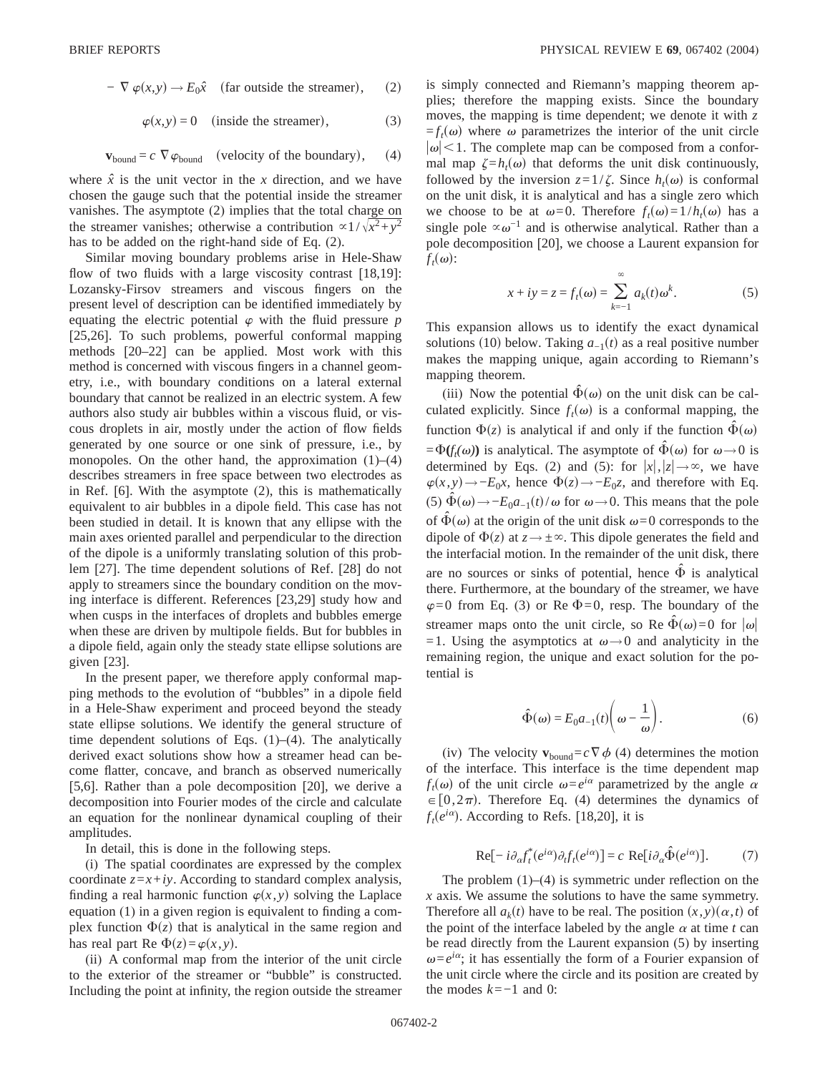$$
- \nabla \varphi(x, y) \to E_0 \hat{x} \quad \text{(far outside the streamer)}, \qquad (2)
$$

$$
\varphi(x, y) = 0 \quad \text{(inside the streamer)}, \tag{3}
$$

$$
\mathbf{v}_{\text{bound}} = c \ \nabla \varphi_{\text{bound}} \quad \text{(velocity of the boundary)}, \qquad (4)
$$

where  $\hat{x}$  is the unit vector in the *x* direction, and we have chosen the gauge such that the potential inside the streamer vanishes. The asymptote (2) implies that the total charge on the streamer vanishes; otherwise a contribution  $\alpha$ 1/ $\sqrt{x^2+y^2}$ has to be added on the right-hand side of Eq. (2).

Similar moving boundary problems arise in Hele-Shaw flow of two fluids with a large viscosity contrast [18,19]: Lozansky-Firsov streamers and viscous fingers on the present level of description can be identified immediately by equating the electric potential  $\varphi$  with the fluid pressure  $p$ [25,26]. To such problems, powerful conformal mapping methods [20–22] can be applied. Most work with this method is concerned with viscous fingers in a channel geometry, i.e., with boundary conditions on a lateral external boundary that cannot be realized in an electric system. A few authors also study air bubbles within a viscous fluid, or viscous droplets in air, mostly under the action of flow fields generated by one source or one sink of pressure, i.e., by monopoles. On the other hand, the approximation  $(1)$ – $(4)$ describes streamers in free space between two electrodes as in Ref. [6]. With the asymptote (2), this is mathematically equivalent to air bubbles in a dipole field. This case has not been studied in detail. It is known that any ellipse with the main axes oriented parallel and perpendicular to the direction of the dipole is a uniformly translating solution of this problem [27]. The time dependent solutions of Ref. [28] do not apply to streamers since the boundary condition on the moving interface is different. References [23,29] study how and when cusps in the interfaces of droplets and bubbles emerge when these are driven by multipole fields. But for bubbles in a dipole field, again only the steady state ellipse solutions are given [23].

In the present paper, we therefore apply conformal mapping methods to the evolution of "bubbles" in a dipole field in a Hele-Shaw experiment and proceed beyond the steady state ellipse solutions. We identify the general structure of time dependent solutions of Eqs. (1)–(4). The analytically derived exact solutions show how a streamer head can become flatter, concave, and branch as observed numerically [5,6]. Rather than a pole decomposition [20], we derive a decomposition into Fourier modes of the circle and calculate an equation for the nonlinear dynamical coupling of their amplitudes.

In detail, this is done in the following steps.

(i) The spatial coordinates are expressed by the complex coordinate  $z=x+iy$ . According to standard complex analysis, finding a real harmonic function  $\varphi(x, y)$  solving the Laplace equation (1) in a given region is equivalent to finding a complex function  $\Phi(z)$  that is analytical in the same region and has real part Re  $\Phi(z) = \varphi(x, y)$ .

(ii) A conformal map from the interior of the unit circle to the exterior of the streamer or "bubble" is constructed. Including the point at infinity, the region outside the streamer is simply connected and Riemann's mapping theorem applies; therefore the mapping exists. Since the boundary moves, the mapping is time dependent; we denote it with *z*  $=f_t(\omega)$  where  $\omega$  parametrizes the interior of the unit circle  $|\omega|$  < 1. The complete map can be composed from a conformal map  $\zeta = h_t(\omega)$  that deforms the unit disk continuously, followed by the inversion  $z=1/\zeta$ . Since  $h_t(\omega)$  is conformal on the unit disk, it is analytical and has a single zero which we choose to be at  $\omega=0$ . Therefore  $f_t(\omega)=1/h_t(\omega)$  has a single pole  $\propto \omega^{-1}$  and is otherwise analytical. Rather than a pole decomposition [20], we choose a Laurent expansion for  $f_t(\omega)$ :

$$
x + iy = z = f_t(\omega) = \sum_{k=-1}^{\infty} a_k(t) \omega^k.
$$
 (5)

This expansion allows us to identify the exact dynamical solutions (10) below. Taking  $a_{-1}(t)$  as a real positive number makes the mapping unique, again according to Riemann's mapping theorem.

(iii) Now the potential  $\hat{\Phi}(\omega)$  on the unit disk can be calculated explicitly. Since  $f_t(\omega)$  is a conformal mapping, the function  $\Phi(z)$  is analytical if and only if the function  $\Phi(\omega)$  $=\Phi(f_t(\omega))$  is analytical. The asymptote of  $\hat{\Phi}(\omega)$  for  $\omega \rightarrow 0$  is determined by Eqs. (2) and (5): for  $|x|, |z| \rightarrow \infty$ , we have  $\varphi(x, y) \rightarrow -E_0x$ , hence  $\Phi(z) \rightarrow -E_0z$ , and therefore with Eq. (5)  $\hat{\Phi}(\omega)$  → −*E*<sub>0</sub>*a*<sub>−1</sub>(*t*)/ $\omega$  for  $\omega$  → 0. This means that the pole of  $\hat{\Phi}(\omega)$  at the origin of the unit disk  $\omega=0$  corresponds to the dipole of  $\Phi(z)$  at  $z \rightarrow \pm \infty$ . This dipole generates the field and the interfacial motion. In the remainder of the unit disk, there are no sources or sinks of potential, hence  $\hat{\Phi}$  is analytical there. Furthermore, at the boundary of the streamer, we have  $\varphi=0$  from Eq. (3) or Re  $\Phi=0$ , resp. The boundary of the streamer maps onto the unit circle, so Re  $\hat{\Phi}(\omega)=0$  for  $|\omega|$ =1. Using the asymptotics at  $\omega \rightarrow 0$  and analyticity in the remaining region, the unique and exact solution for the potential is

$$
\hat{\Phi}(\omega) = E_0 a_{-1}(t) \left(\omega - \frac{1}{\omega}\right). \tag{6}
$$

(iv) The velocity  $\mathbf{v}_{\text{bound}} = c \nabla \phi$  (4) determines the motion of the interface. This interface is the time dependent map  $f_t(\omega)$  of the unit circle  $\omega = e^{i\alpha}$  parametrized by the angle  $\alpha$  $\in [0,2\pi)$ . Therefore Eq. (4) determines the dynamics of  $f_t(e^{i\alpha})$ . According to Refs. [18,20], it is

$$
\text{Re}[-i\partial_{\alpha}f_{t}^{*}(e^{i\alpha})\partial_{t}f_{t}(e^{i\alpha})] = c \text{ Re}[i\partial_{\alpha}\hat{\Phi}(e^{i\alpha})].
$$
 (7)

The problem  $(1)$ – $(4)$  is symmetric under reflection on the *x* axis. We assume the solutions to have the same symmetry. Therefore all  $a_k(t)$  have to be real. The position  $(x, y)(\alpha, t)$  of the point of the interface labeled by the angle  $\alpha$  at time  $t$  can be read directly from the Laurent expansion (5) by inserting  $\omega = e^{i\alpha}$ ; it has essentially the form of a Fourier expansion of the unit circle where the circle and its position are created by the modes *k*=−1 and 0: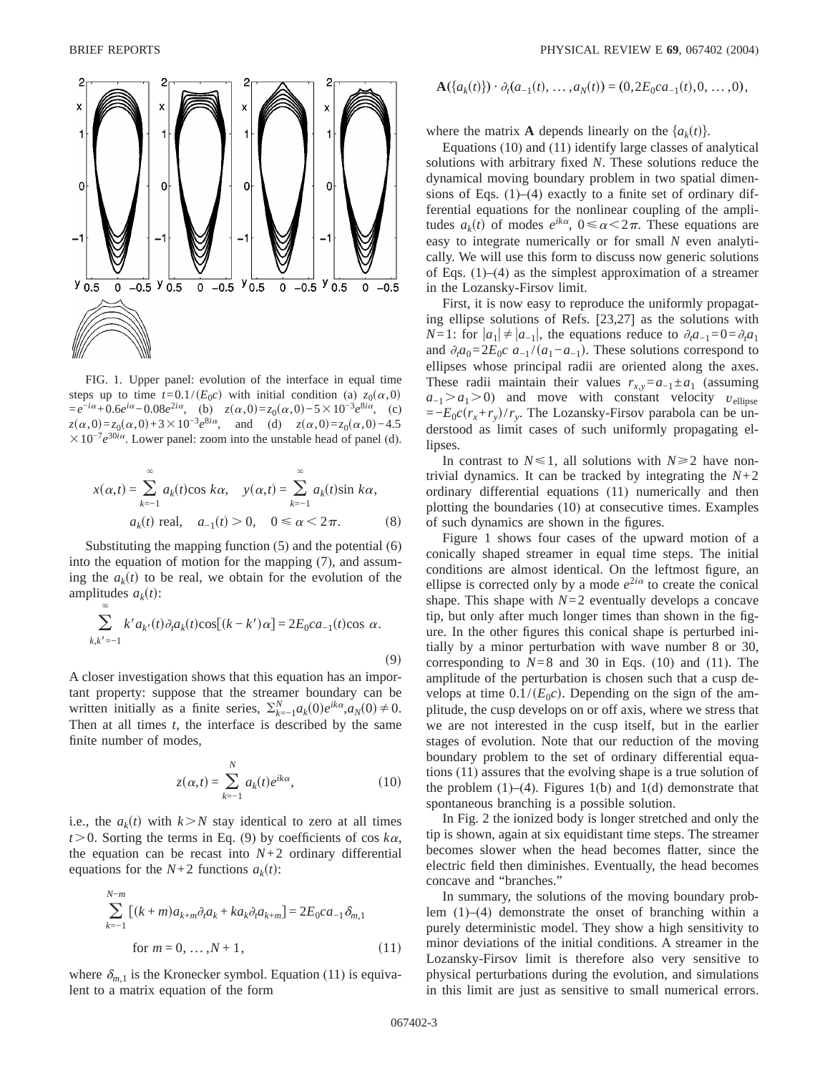$\infty$ 



FIG. 1. Upper panel: evolution of the interface in equal time steps up to time  $t=0.1/(E_0c)$  with initial condition (a)  $z_0(\alpha,0)$  $=e^{-i\alpha}+0.6e^{i\alpha}-0.08e^{2i\alpha}$ , (b)  $z(\alpha,0)=z_0(\alpha,0)-5\times10^{-3}e^{8i\alpha}$ , (c)  $z(\alpha,0) = z_0(\alpha,0) + 3 \times 10^{-3} e^{8i\alpha}$ , and (d)  $z(\alpha,0) = z_0(\alpha,0) - 4.5$  $\times 10^{-7}e^{30i\alpha}$ . Lower panel: zoom into the unstable head of panel (d).

$$
x(\alpha, t) = \sum_{k=-1}^{\infty} a_k(t) \cos k\alpha, \quad y(\alpha, t) = \sum_{k=-1}^{\infty} a_k(t) \sin k\alpha,
$$
  

$$
a_k(t) \text{ real}, \quad a_{-1}(t) > 0, \quad 0 \le \alpha < 2\pi.
$$
 (8)

Substituting the mapping function (5) and the potential (6) into the equation of motion for the mapping (7), and assuming the  $a_k(t)$  to be real, we obtain for the evolution of the amplitudes  $a_k(t)$ :

$$
\sum_{k,k'=-1} k' a_{k'}(t) \partial_t a_k(t) \cos[(k-k')\alpha] = 2E_0 c a_{-1}(t) \cos \alpha.
$$

A closer investigation shows that this equation has an important property: suppose that the streamer boundary can be written initially as a finite series,  $\sum_{k=-1}^{N} a_k(0) e^{ik\alpha}, a_N(0) \neq 0$ . Then at all times *t*, the interface is described by the same finite number of modes,

$$
z(\alpha, t) = \sum_{k=-1}^{N} a_k(t)e^{ik\alpha},
$$
\n(10)

i.e., the  $a_k(t)$  with  $k > N$  stay identical to zero at all times  $t > 0$ . Sorting the terms in Eq. (9) by coefficients of cos  $k\alpha$ , the equation can be recast into  $N+2$  ordinary differential equations for the  $N+2$  functions  $a_k(t)$ :

$$
\sum_{k=-1}^{N-m} [(k+m)a_{k+m}\partial_t a_k + ka_k \partial_t a_{k+m}] = 2E_0 ca_{-1} \delta_{m,1}
$$
  
for  $m = 0, ..., N + 1$ , (11)

where  $\delta_{m,1}$  is the Kronecker symbol. Equation (11) is equivalent to a matrix equation of the form

$$
\mathbf{A}(\{a_k(t)\}) \cdot \partial_t(a_{-1}(t), \ldots, a_N(t)) = (0, 2E_0ca_{-1}(t), 0, \ldots, 0),
$$

where the matrix **A** depends linearly on the  $\{a_k(t)\}\$ .

Equations (10) and (11) identify large classes of analytical solutions with arbitrary fixed *N*. These solutions reduce the dynamical moving boundary problem in two spatial dimensions of Eqs. (1)–(4) exactly to a finite set of ordinary differential equations for the nonlinear coupling of the amplitudes  $a_k(t)$  of modes  $e^{ik\alpha}$ ,  $0 \le \alpha \le 2\pi$ . These equations are easy to integrate numerically or for small *N* even analytically. We will use this form to discuss now generic solutions of Eqs. (1)–(4) as the simplest approximation of a streamer in the Lozansky-Firsov limit.

First, it is now easy to reproduce the uniformly propagating ellipse solutions of Refs. [23,27] as the solutions with *N*=1: for  $|a_1| \neq |a_{-1}|$ , the equations reduce to  $\partial_i a_{-1} = 0 = \partial_i a_1$ and  $\partial_t a_0 = 2E_0 c \ a_{-1} / (a_1 - a_{-1})$ . These solutions correspond to ellipses whose principal radii are oriented along the axes. These radii maintain their values  $r_{x,y} = a_{-1} \pm a_1$  (assuming  $a_{-1} > a_1 > 0$ ) and move with constant velocity  $v_{\text{ellipse}}$  $=-E_0c(r_x+r_y)/r_y$ . The Lozansky-Firsov parabola can be understood as limit cases of such uniformly propagating ellipses.

In contrast to  $N \le 1$ , all solutions with  $N \ge 2$  have nontrivial dynamics. It can be tracked by integrating the  $N+2$ ordinary differential equations (11) numerically and then plotting the boundaries (10) at consecutive times. Examples of such dynamics are shown in the figures.

Figure 1 shows four cases of the upward motion of a conically shaped streamer in equal time steps. The initial conditions are almost identical. On the leftmost figure, an ellipse is corrected only by a mode  $e^{2i\alpha}$  to create the conical shape. This shape with  $N=2$  eventually develops a concave tip, but only after much longer times than shown in the figure. In the other figures this conical shape is perturbed initially by a minor perturbation with wave number 8 or 30, corresponding to  $N=8$  and 30 in Eqs. (10) and (11). The amplitude of the perturbation is chosen such that a cusp develops at time  $0.1/(E_0c)$ . Depending on the sign of the amplitude, the cusp develops on or off axis, where we stress that we are not interested in the cusp itself, but in the earlier stages of evolution. Note that our reduction of the moving boundary problem to the set of ordinary differential equations (11) assures that the evolving shape is a true solution of the problem  $(1)$ – $(4)$ . Figures 1(b) and 1(d) demonstrate that spontaneous branching is a possible solution.

In Fig. 2 the ionized body is longer stretched and only the tip is shown, again at six equidistant time steps. The streamer becomes slower when the head becomes flatter, since the electric field then diminishes. Eventually, the head becomes concave and "branches."

In summary, the solutions of the moving boundary problem (1)–(4) demonstrate the onset of branching within a purely deterministic model. They show a high sensitivity to minor deviations of the initial conditions. A streamer in the Lozansky-Firsov limit is therefore also very sensitive to physical perturbations during the evolution, and simulations in this limit are just as sensitive to small numerical errors.

 $(9)$